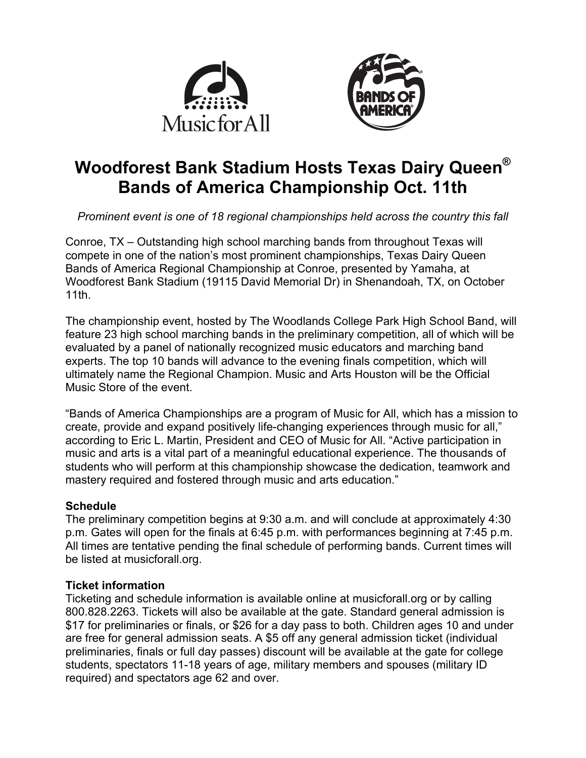



# **Woodforest Bank Stadium Hosts Texas Dairy Queen® Bands of America Championship Oct. 11th**

*Prominent event is one of 18 regional championships held across the country this fall*

Conroe, TX – Outstanding high school marching bands from throughout Texas will compete in one of the nation's most prominent championships, Texas Dairy Queen Bands of America Regional Championship at Conroe, presented by Yamaha, at Woodforest Bank Stadium (19115 David Memorial Dr) in Shenandoah, TX, on October 11th.

The championship event, hosted by The Woodlands College Park High School Band, will feature 23 high school marching bands in the preliminary competition, all of which will be evaluated by a panel of nationally recognized music educators and marching band experts. The top 10 bands will advance to the evening finals competition, which will ultimately name the Regional Champion. Music and Arts Houston will be the Official Music Store of the event.

"Bands of America Championships are a program of Music for All, which has a mission to create, provide and expand positively life-changing experiences through music for all," according to Eric L. Martin, President and CEO of Music for All. "Active participation in music and arts is a vital part of a meaningful educational experience. The thousands of students who will perform at this championship showcase the dedication, teamwork and mastery required and fostered through music and arts education."

#### **Schedule**

The preliminary competition begins at 9:30 a.m. and will conclude at approximately 4:30 p.m. Gates will open for the finals at 6:45 p.m. with performances beginning at 7:45 p.m. All times are tentative pending the final schedule of performing bands. Current times will be listed at musicforall.org.

## **Ticket information**

Ticketing and schedule information is available online at musicforall.org or by calling 800.828.2263. Tickets will also be available at the gate. Standard general admission is \$17 for preliminaries or finals, or \$26 for a day pass to both. Children ages 10 and under are free for general admission seats. A \$5 off any general admission ticket (individual preliminaries, finals or full day passes) discount will be available at the gate for college students, spectators 11-18 years of age, military members and spouses (military ID required) and spectators age 62 and over.